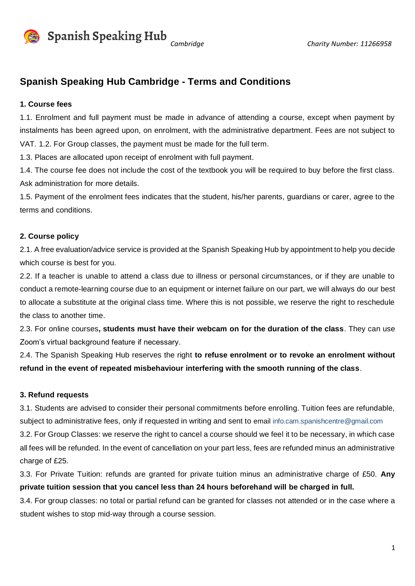

**Cambridge** Charity Number: 11266958

### **Spanish Speaking Hub Cambridge - Terms and Conditions**

#### **1. Course fees**

1.1. Enrolment and full payment must be made in advance of attending a course, except when payment by instalments has been agreed upon, on enrolment, with the administrative department. Fees are not subject to VAT. 1.2. For Group classes, the payment must be made for the full term.

1.3. Places are allocated upon receipt of enrolment with full payment.

1.4. The course fee does not include the cost of the textbook you will be required to buy before the first class. Ask administration for more details.

1.5. Payment of the enrolment fees indicates that the student, his/her parents, guardians or carer, agree to the terms and conditions.

#### **2. Course policy**

2.1. A free evaluation/advice service is provided at the Spanish Speaking Hub by appointment to help you decide which course is best for you.

2.2. If a teacher is unable to attend a class due to illness or personal circumstances, or if they are unable to conduct a remote-learning course due to an equipment or internet failure on our part, we will always do our best to allocate a substitute at the original class time. Where this is not possible, we reserve the right to reschedule the class to another time.

2.3. For online courses**, students must have their webcam on for the duration of the class**. They can use Zoom's virtual background feature if necessary.

2.4. The Spanish Speaking Hub reserves the right **to refuse enrolment or to revoke an enrolment without refund in the event of repeated misbehaviour interfering with the smooth running of the class**.

#### **3. Refund requests**

3.1. Students are advised to consider their personal commitments before enrolling. Tuition fees are refundable, subject to administrative fees, only if requested in writing and sent to email info.cam.spanishcentre@gmail.com 3.2. For Group Classes: we reserve the right to cancel a course should we feel it to be necessary, in which case

all fees will be refunded. In the event of cancellation on your part less, fees are refunded minus an administrative charge of £25.

3.3. For Private Tuition: refunds are granted for private tuition minus an administrative charge of £50. **Any private tuition session that you cancel less than 24 hours beforehand will be charged in full.**

3.4. For group classes: no total or partial refund can be granted for classes not attended or in the case where a student wishes to stop mid-way through a course session.